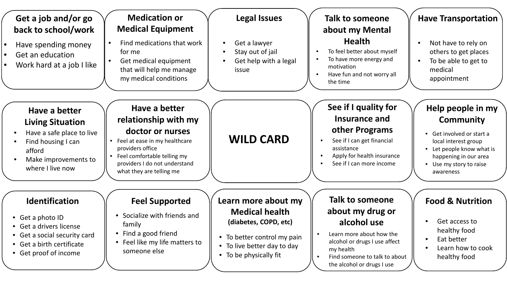| Get a job and/or go<br>back to school/work                                                                                                                 | <b>Medication or</b><br><b>Medical Equipment</b>                                                                                                                                                             | <b>Legal Issues</b>                                                                                                                                           | <b>Talk to someone</b><br>about my Mental                                                                                                                                                   | <b>Have Transportation</b>                                                                                                                                                         |
|------------------------------------------------------------------------------------------------------------------------------------------------------------|--------------------------------------------------------------------------------------------------------------------------------------------------------------------------------------------------------------|---------------------------------------------------------------------------------------------------------------------------------------------------------------|---------------------------------------------------------------------------------------------------------------------------------------------------------------------------------------------|------------------------------------------------------------------------------------------------------------------------------------------------------------------------------------|
| Have spending money<br>Get an education<br>Work hard at a job I like                                                                                       | Find medications that work<br>for me<br>Get medical equipment<br>that will help me manage<br>my medical conditions                                                                                           | Get a lawyer<br>Stay out of jail<br>Get help with a legal<br>issue                                                                                            | <b>Health</b><br>To feel better about myself<br>To have more energy and<br>motivation<br>Have fun and not worry all<br>the time                                                             | Not have to rely on<br>$\bullet$<br>others to get places<br>To be able to get to<br>medical<br>appointment                                                                         |
| Have a better<br><b>Living Situation</b><br>Have a safe place to live<br>Find housing I can<br>afford<br>Make improvements to<br>where I live now          | Have a better<br>relationship with my<br>doctor or nurses<br>• Feel at ease in my healthcare<br>providers office<br>Feel comfortable telling my<br>providers I do not understand<br>what they are telling me | <b>WILD CARD</b>                                                                                                                                              | See if I quality for<br>Insurance and<br>other Programs<br>See if I can get financial<br>assistance<br>Apply for health insurance<br>See if I can more income                               | Help people in my<br><b>Community</b><br>Get involved or start a<br>local interest group<br>Let people know what is<br>happening in our area<br>Use my story to raise<br>awareness |
| <b>Identification</b><br>• Get a photo ID<br>• Get a drivers license<br>• Get a social security card<br>• Get a birth certificate<br>• Get proof of income | <b>Feel Supported</b><br>• Socialize with friends and<br>family<br>• Find a good friend<br>• Feel like my life matters to<br>someone else                                                                    | Learn more about my<br><b>Medical health</b><br>(diabetes, COPD, etc)<br>• To better control my pain<br>• To live better day to day<br>• To be physically fit | Talk to someone<br>about my drug or<br>alcohol use<br>Learn more about how the<br>alcohol or drugs I use affect<br>my health<br>Find someone to talk to about<br>the alcohol or drugs I use | <b>Food &amp; Nutrition</b><br>Get access to<br>healthy food<br>Eat better<br>Learn how to cook<br>healthy food                                                                    |